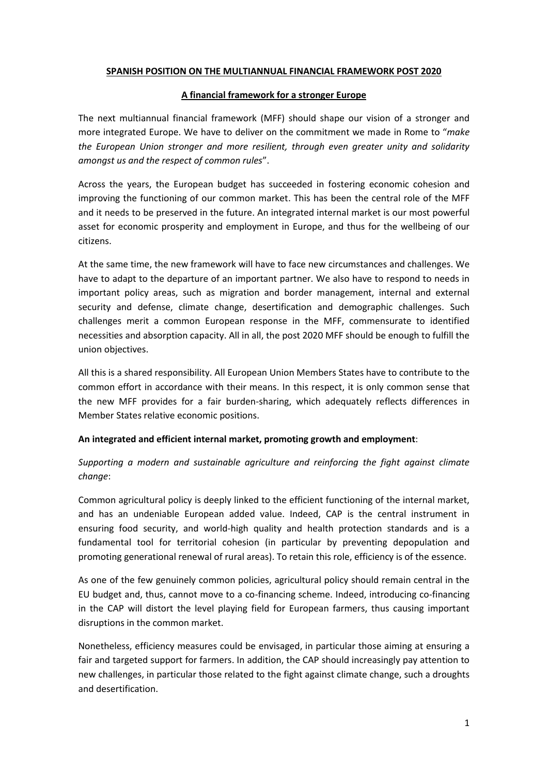### **SPANISH POSITION ON THE MULTIANNUAL FINANCIAL FRAMEWORK POST 2020**

## **A financial framework for a stronger Europe**

The next multiannual financial framework (MFF) should shape our vision of a stronger and more integrated Europe. We have to deliver on the commitment we made in Rome to "*make the European Union stronger and more resilient, through even greater unity and solidarity amongst us and the respect of common rules*".

Across the years, the European budget has succeeded in fostering economic cohesion and improving the functioning of our common market. This has been the central role of the MFF and it needs to be preserved in the future. An integrated internal market is our most powerful asset for economic prosperity and employment in Europe, and thus for the wellbeing of our citizens.

At the same time, the new framework will have to face new circumstances and challenges. We have to adapt to the departure of an important partner. We also have to respond to needs in important policy areas, such as migration and border management, internal and external security and defense, climate change, desertification and demographic challenges. Such challenges merit a common European response in the MFF, commensurate to identified necessities and absorption capacity. All in all, the post 2020 MFF should be enough to fulfill the union objectives.

All this is a shared responsibility. All European Union Members States have to contribute to the common effort in accordance with their means. In this respect, it is only common sense that the new MFF provides for a fair burden-sharing, which adequately reflects differences in Member States relative economic positions.

#### **An integrated and efficient internal market, promoting growth and employment**:

*Supporting a modern and sustainable agriculture and reinforcing the fight against climate change*:

Common agricultural policy is deeply linked to the efficient functioning of the internal market, and has an undeniable European added value. Indeed, CAP is the central instrument in ensuring food security, and world-high quality and health protection standards and is a fundamental tool for territorial cohesion (in particular by preventing depopulation and promoting generational renewal of rural areas). To retain this role, efficiency is of the essence.

As one of the few genuinely common policies, agricultural policy should remain central in the EU budget and, thus, cannot move to a co-financing scheme. Indeed, introducing co-financing in the CAP will distort the level playing field for European farmers, thus causing important disruptions in the common market.

Nonetheless, efficiency measures could be envisaged, in particular those aiming at ensuring a fair and targeted support for farmers. In addition, the CAP should increasingly pay attention to new challenges, in particular those related to the fight against climate change, such a droughts and desertification.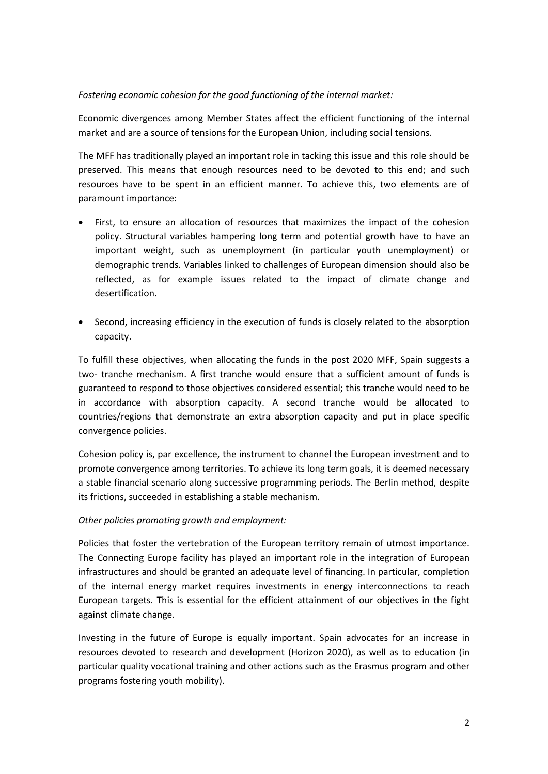## *Fostering economic cohesion for the good functioning of the internal market:*

Economic divergences among Member States affect the efficient functioning of the internal market and are a source of tensions for the European Union, including social tensions.

The MFF has traditionally played an important role in tacking this issue and this role should be preserved. This means that enough resources need to be devoted to this end; and such resources have to be spent in an efficient manner. To achieve this, two elements are of paramount importance:

- First, to ensure an allocation of resources that maximizes the impact of the cohesion policy. Structural variables hampering long term and potential growth have to have an important weight, such as unemployment (in particular youth unemployment) or demographic trends. Variables linked to challenges of European dimension should also be reflected, as for example issues related to the impact of climate change and desertification.
- Second, increasing efficiency in the execution of funds is closely related to the absorption capacity.

To fulfill these objectives, when allocating the funds in the post 2020 MFF, Spain suggests a two- tranche mechanism. A first tranche would ensure that a sufficient amount of funds is guaranteed to respond to those objectives considered essential; this tranche would need to be in accordance with absorption capacity. A second tranche would be allocated to countries/regions that demonstrate an extra absorption capacity and put in place specific convergence policies.

Cohesion policy is, par excellence, the instrument to channel the European investment and to promote convergence among territories. To achieve its long term goals, it is deemed necessary a stable financial scenario along successive programming periods. The Berlin method, despite its frictions, succeeded in establishing a stable mechanism.

#### *Other policies promoting growth and employment:*

Policies that foster the vertebration of the European territory remain of utmost importance. The Connecting Europe facility has played an important role in the integration of European infrastructures and should be granted an adequate level of financing. In particular, completion of the internal energy market requires investments in energy interconnections to reach European targets. This is essential for the efficient attainment of our objectives in the fight against climate change.

Investing in the future of Europe is equally important. Spain advocates for an increase in resources devoted to research and development (Horizon 2020), as well as to education (in particular quality vocational training and other actions such as the Erasmus program and other programs fostering youth mobility).